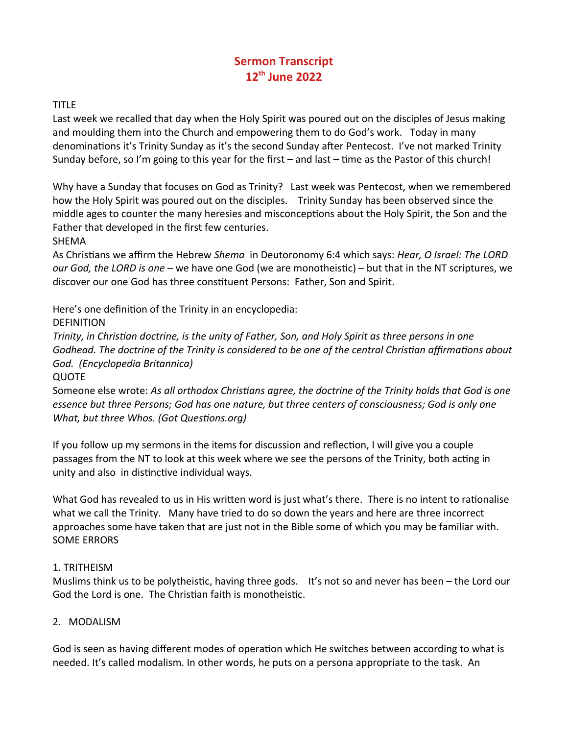# **Sermon Transcript 12th June 2022**

## TITLE

Last week we recalled that day when the Holy Spirit was poured out on the disciples of Jesus making and moulding them into the Church and empowering them to do God's work. Today in many denominations it's Trinity Sunday as it's the second Sunday after Pentecost. I've not marked Trinity Sunday before, so I'm going to this year for the first – and last – time as the Pastor of this church!

Why have a Sunday that focuses on God as Trinity? Last week was Pentecost, when we remembered how the Holy Spirit was poured out on the disciples. Trinity Sunday has been observed since the middle ages to counter the many heresies and misconceptions about the Holy Spirit, the Son and the Father that developed in the first few centuries.

SHEMA

As Christians we affirm the Hebrew *Shema* in Deutoronomy 6:4 which says: *Hear, O Israel: The LORD our God, the LORD is one* – we have one God (we are monotheistic) – but that in the NT scriptures, we discover our one God has three constituent Persons: Father, Son and Spirit.

Here's one definition of the Trinity in an encyclopedia:

**DEFINITION** 

*Trinity, in Christian doctrine, is the unity of Father, Son, and Holy Spirit as three persons in one Godhead. The doctrine of the Trinity is considered to be one of the central Christian affirmations about God. (Encyclopedia Britannica)*

**QUOTE** 

Someone else wrote: *As all orthodox Christians agree, the doctrine of the Trinity holds that God is one essence but three Persons; God has one nature, but three centers of consciousness; God is only one What, but three Whos. (Got Questions.org)*

If you follow up my sermons in the items for discussion and reflection, I will give you a couple passages from the NT to look at this week where we see the persons of the Trinity, both acting in unity and also in distinctive individual ways.

What God has revealed to us in His written word is just what's there. There is no intent to rationalise what we call the Trinity. Many have tried to do so down the years and here are three incorrect approaches some have taken that are just not in the Bible some of which you may be familiar with. SOME ERRORS

## 1. TRITHEISM

Muslims think us to be polytheistic, having three gods. It's not so and never has been – the Lord our God the Lord is one. The Christian faith is monotheistic.

## 2. MODALISM

God is seen as having different modes of operation which He switches between according to what is needed. It's called modalism. In other words, he puts on a persona appropriate to the task. An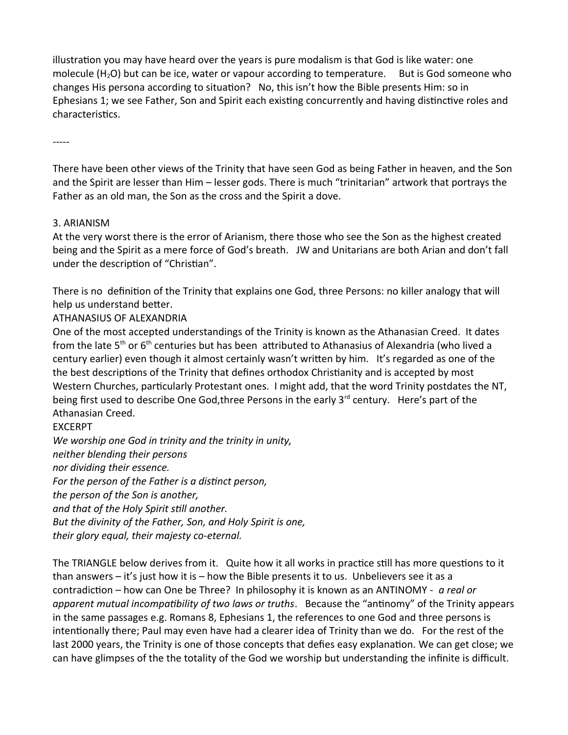illustration you may have heard over the years is pure modalism is that God is like water: one molecule  $(H_2O)$  but can be ice, water or vapour according to temperature. But is God someone who changes His persona according to situation? No, this isn't how the Bible presents Him: so in Ephesians 1; we see Father, Son and Spirit each existing concurrently and having distinctive roles and characteristics.

-----

There have been other views of the Trinity that have seen God as being Father in heaven, and the Son and the Spirit are lesser than Him – lesser gods. There is much "trinitarian" artwork that portrays the Father as an old man, the Son as the cross and the Spirit a dove.

### 3. ARIANISM

At the very worst there is the error of Arianism, there those who see the Son as the highest created being and the Spirit as a mere force of God's breath. JW and Unitarians are both Arian and don't fall under the description of "Christian".

There is no definition of the Trinity that explains one God, three Persons: no killer analogy that will help us understand better.

# ATHANASIUS OF ALEXANDRIA

One of the most accepted understandings of the Trinity is known as the Athanasian Creed. It dates from the late  $5<sup>th</sup>$  or 6<sup>th</sup> centuries but has been attributed to Athanasius of Alexandria (who lived a century earlier) even though it almost certainly wasn't written by him. It's regarded as one of the the best descriptions of the Trinity that defines orthodox Christianity and is accepted by most Western Churches, particularly Protestant ones. I might add, that the word Trinity postdates the NT, being first used to describe One God, three Persons in the early 3<sup>rd</sup> century. Here's part of the Athanasian Creed.

#### EXCERPT

*We worship one God in trinity and the trinity in unity, neither blending their persons nor dividing their essence. For the person of the Father is a distinct person, the person of the Son is another, and that of the Holy Spirit still another. But the divinity of the Father, Son, and Holy Spirit is one, their glory equal, their majesty co-eternal.*

The TRIANGLE below derives from it. Quite how it all works in practice still has more questions to it than answers – it's just how it is – how the Bible presents it to us. Unbelievers see it as a contradiction – how can One be Three? In philosophy it is known as an ANTINOMY - *a real or apparent mutual incompatibility of two laws or truths*. Because the "antinomy" of the Trinity appears in the same passages e.g. Romans 8, Ephesians 1, the references to one God and three persons is intentionally there; Paul may even have had a clearer idea of Trinity than we do. For the rest of the last 2000 years, the Trinity is one of those concepts that defies easy explanation. We can get close; we can have glimpses of the the totality of the God we worship but understanding the infinite is difficult.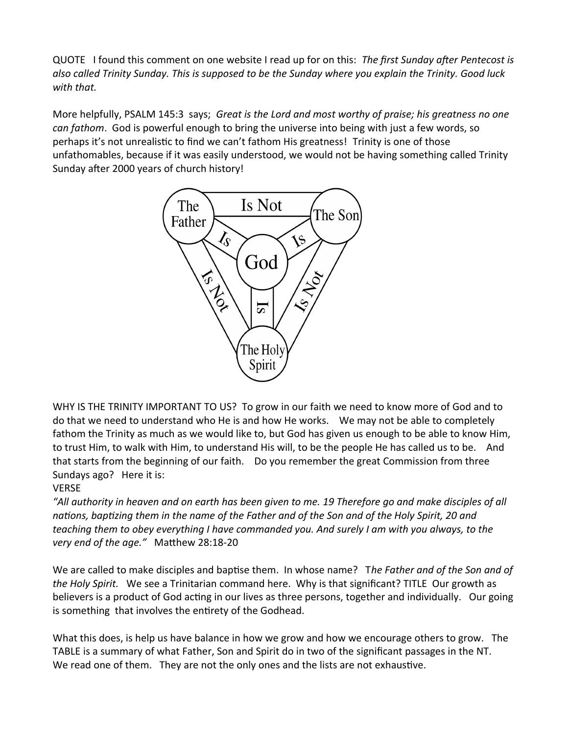QUOTE I found this comment on one website I read up for on this: *The first Sunday after Pentecost is also called Trinity Sunday. This is supposed to be the Sunday where you explain the Trinity. Good luck with that.* 

More helpfully, PSALM 145:3 says; *Great is the Lord and most worthy of praise; his greatness no one can fathom*. God is powerful enough to bring the universe into being with just a few words, so perhaps it's not unrealistic to find we can't fathom His greatness! Trinity is one of those unfathomables, because if it was easily understood, we would not be having something called Trinity Sunday after 2000 years of church history!



WHY IS THE TRINITY IMPORTANT TO US? To grow in our faith we need to know more of God and to do that we need to understand who He is and how He works. We may not be able to completely fathom the Trinity as much as we would like to, but God has given us enough to be able to know Him, to trust Him, to walk with Him, to understand His will, to be the people He has called us to be. And that starts from the beginning of our faith. Do you remember the great Commission from three Sundays ago? Here it is:

## VERSE

*"All authority in heaven and on earth has been given to me. 19 Therefore go and make disciples of all nations, baptizing them in the name of the Father and of the Son and of the Holy Spirit, 20 and teaching them to obey everything I have commanded you. And surely I am with you always, to the very end of the age."* Matthew 28:18-20

We are called to make disciples and baptise them. In whose name? T*he Father and of the Son and of the Holy Spirit.* We see a Trinitarian command here. Why is that significant? TITLE Our growth as believers is a product of God acting in our lives as three persons, together and individually. Our going is something that involves the entirety of the Godhead.

What this does, is help us have balance in how we grow and how we encourage others to grow. The TABLE is a summary of what Father, Son and Spirit do in two of the significant passages in the NT. We read one of them. They are not the only ones and the lists are not exhaustive.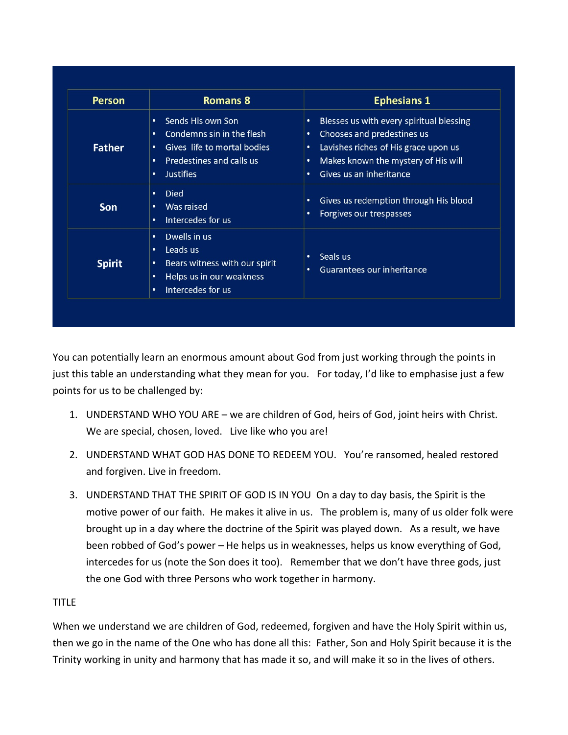| <b>Person</b> | <b>Romans 8</b>                                                                                                                                        | <b>Ephesians 1</b>                                                                                                                                                                                                |
|---------------|--------------------------------------------------------------------------------------------------------------------------------------------------------|-------------------------------------------------------------------------------------------------------------------------------------------------------------------------------------------------------------------|
| <b>Father</b> | Sends His own Son<br>٠<br>Condemns sin in the flesh<br>٠<br>Gives life to mortal bodies<br>٠<br>Predestines and calls us<br>٠<br><b>Justifies</b><br>٠ | Blesses us with every spiritual blessing<br>$\bullet$<br>Chooses and predestines us<br>٠<br>Lavishes riches of His grace upon us<br>٠<br>Makes known the mystery of His will<br>٠<br>Gives us an inheritance<br>٠ |
| <b>Son</b>    | <b>Died</b><br>٠<br>Was raised<br>٠<br>Intercedes for us<br>٠                                                                                          | Gives us redemption through His blood<br>٠<br>Forgives our trespasses<br>٠                                                                                                                                        |
| <b>Spirit</b> | Dwells in us<br>٠<br>Leads us<br>٠<br>Bears witness with our spirit<br>٠<br>Helps us in our weakness<br>٠<br>Intercedes for us<br>٠                    | Seals us<br>٠<br>Guarantees our inheritance<br>٠                                                                                                                                                                  |

You can potentially learn an enormous amount about God from just working through the points in just this table an understanding what they mean for you. For today, I'd like to emphasise just a few points for us to be challenged by:

- 1. UNDERSTAND WHO YOU ARE we are children of God, heirs of God, joint heirs with Christ. We are special, chosen, loved. Live like who you are!
- 2. UNDERSTAND WHAT GOD HAS DONE TO REDEEM YOU. You're ransomed, healed restored and forgiven. Live in freedom.
- 3. UNDERSTAND THAT THE SPIRIT OF GOD IS IN YOU On a day to day basis, the Spirit is the motive power of our faith. He makes it alive in us. The problem is, many of us older folk were brought up in a day where the doctrine of the Spirit was played down. As a result, we have been robbed of God's power – He helps us in weaknesses, helps us know everything of God, intercedes for us (note the Son does it too). Remember that we don't have three gods, just the one God with three Persons who work together in harmony.

## TITLE

When we understand we are children of God, redeemed, forgiven and have the Holy Spirit within us, then we go in the name of the One who has done all this: Father, Son and Holy Spirit because it is the Trinity working in unity and harmony that has made it so, and will make it so in the lives of others.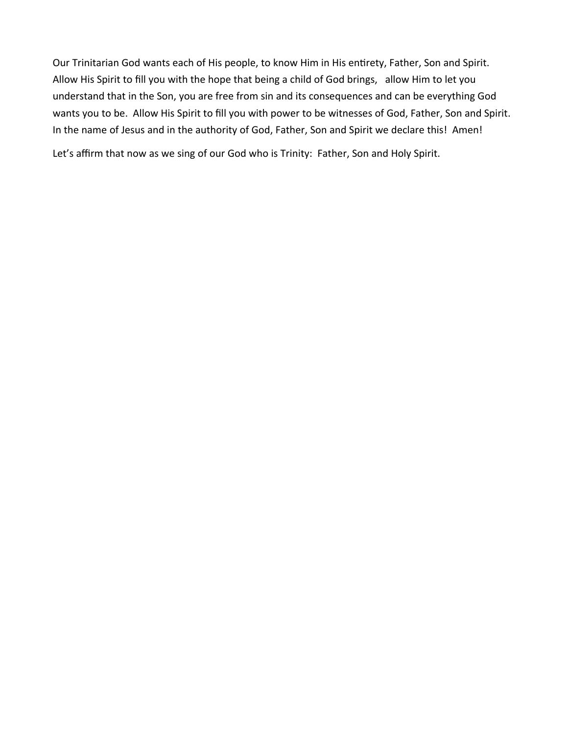Our Trinitarian God wants each of His people, to know Him in His entirety, Father, Son and Spirit. Allow His Spirit to fill you with the hope that being a child of God brings, allow Him to let you understand that in the Son, you are free from sin and its consequences and can be everything God wants you to be. Allow His Spirit to fill you with power to be witnesses of God, Father, Son and Spirit. In the name of Jesus and in the authority of God, Father, Son and Spirit we declare this! Amen!

Let's affirm that now as we sing of our God who is Trinity: Father, Son and Holy Spirit.